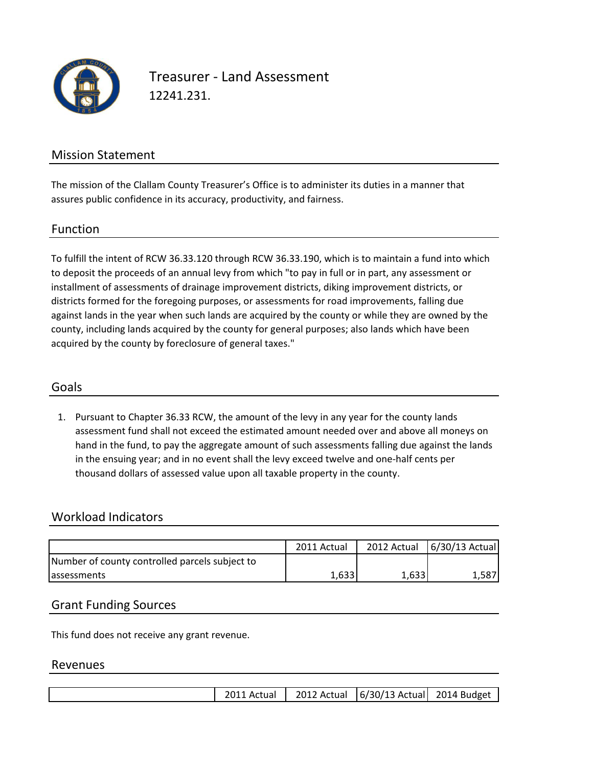

Treasurer - Land Assessment 12241.231.

## Mission Statement

The mission of the Clallam County Treasurer's Office is to administer its duties in a manner that assures public confidence in its accuracy, productivity, and fairness.

#### Function

To fulfill the intent of RCW 36.33.120 through RCW 36.33.190, which is to maintain a fund into which to deposit the proceeds of an annual levy from which "to pay in full or in part, any assessment or installment of assessments of drainage improvement districts, diking improvement districts, or districts formed for the foregoing purposes, or assessments for road improvements, falling due against lands in the year when such lands are acquired by the county or while they are owned by the county, including lands acquired by the county for general purposes; also lands which have been acquired by the county by foreclosure of general taxes."

### Goals

1. Pursuant to Chapter 36.33 RCW, the amount of the levy in any year for the county lands assessment fund shall not exceed the estimated amount needed over and above all moneys on hand in the fund, to pay the aggregate amount of such assessments falling due against the lands in the ensuing year; and in no event shall the levy exceed twelve and one-half cents per thousand dollars of assessed value upon all taxable property in the county.

### Workload Indicators

|                                                | 2011 Actual |       | 2012 Actual   6/30/13 Actual |
|------------------------------------------------|-------------|-------|------------------------------|
| Number of county controlled parcels subject to |             |       |                              |
| assessments                                    | 1,633       | 1,633 | 1.587                        |

### Grant Funding Sources

This fund does not receive any grant revenue.

#### Revenues

|  |  | 2011 Actual |  | 2012 Actual   6/30/13 Actual   2014 Budget |  |
|--|--|-------------|--|--------------------------------------------|--|
|--|--|-------------|--|--------------------------------------------|--|